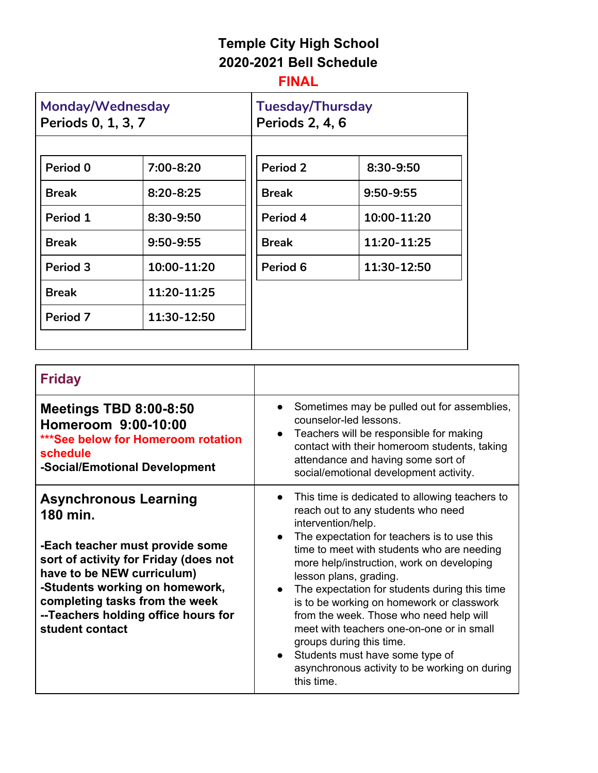# **Temple City High School 2020-2021 Bell Schedule**

## **FINAL**

| Monday/Wednesday<br>Periods 0, 1, 3, 7 |               | <b>Tuesday/Thursday</b><br><b>Periods 2, 4, 6</b> |             |
|----------------------------------------|---------------|---------------------------------------------------|-------------|
|                                        |               |                                                   |             |
| Period 0                               | 7:00-8:20     | Period 2                                          | 8:30-9:50   |
| <b>Break</b>                           | $8:20 - 8:25$ | <b>Break</b>                                      | 9:50-9:55   |
| Period 1                               | 8:30-9:50     | Period 4                                          | 10:00-11:20 |
| <b>Break</b>                           | $9:50 - 9:55$ | <b>Break</b>                                      | 11:20-11:25 |
| Period 3                               | 10:00-11:20   | Period 6                                          | 11:30-12:50 |
| <b>Break</b>                           | 11:20-11:25   |                                                   |             |
| Period 7                               | 11:30-12:50   |                                                   |             |
|                                        |               |                                                   |             |

| <b>Friday</b>                                                                                                                                                                                                                                                                    |                                                                                                                                                                                                                                                                                                                                                                                                                                                                                                                                                                                                    |
|----------------------------------------------------------------------------------------------------------------------------------------------------------------------------------------------------------------------------------------------------------------------------------|----------------------------------------------------------------------------------------------------------------------------------------------------------------------------------------------------------------------------------------------------------------------------------------------------------------------------------------------------------------------------------------------------------------------------------------------------------------------------------------------------------------------------------------------------------------------------------------------------|
| <b>Meetings TBD 8:00-8:50</b><br>Homeroom 9:00-10:00<br>***See below for Homeroom rotation<br>schedule<br>-Social/Emotional Development                                                                                                                                          | Sometimes may be pulled out for assemblies,<br>counselor-led lessons.<br>Teachers will be responsible for making<br>contact with their homeroom students, taking<br>attendance and having some sort of<br>social/emotional development activity.                                                                                                                                                                                                                                                                                                                                                   |
| <b>Asynchronous Learning</b><br>180 min.<br>-Each teacher must provide some<br>sort of activity for Friday (does not<br>have to be NEW curriculum)<br>-Students working on homework,<br>completing tasks from the week<br>--Teachers holding office hours for<br>student contact | This time is dedicated to allowing teachers to<br>reach out to any students who need<br>intervention/help.<br>The expectation for teachers is to use this<br>time to meet with students who are needing<br>more help/instruction, work on developing<br>lesson plans, grading.<br>The expectation for students during this time<br>is to be working on homework or classwork<br>from the week. Those who need help will<br>meet with teachers one-on-one or in small<br>groups during this time.<br>Students must have some type of<br>asynchronous activity to be working on during<br>this time. |